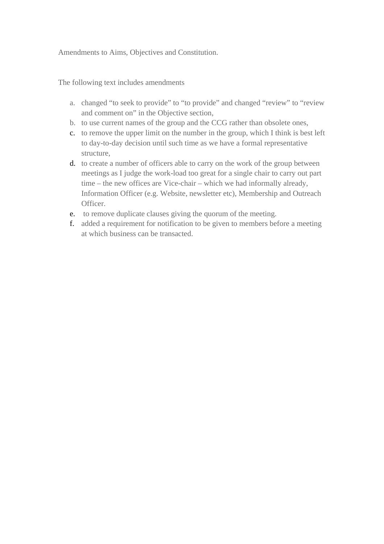Amendments to Aims, Objectives and Constitution.

The following text includes amendments

- a. changed "to seek to provide" to "to provide" and changed "review" to "review and comment on" in the Objective section,
- b. to use current names of the group and the CCG rather than obsolete ones,
- c. to remove the upper limit on the number in the group, which I think is best left to day-to-day decision until such time as we have a formal representative structure,
- d. to create a number of officers able to carry on the work of the group between meetings as I judge the work-load too great for a single chair to carry out part time – the new offices are Vice-chair – which we had informally already, Information Officer (e.g. Website, newsletter etc), Membership and Outreach Officer.
- e. to remove duplicate clauses giving the quorum of the meeting.
- f. added a requirement for notification to be given to members before a meeting at which business can be transacted.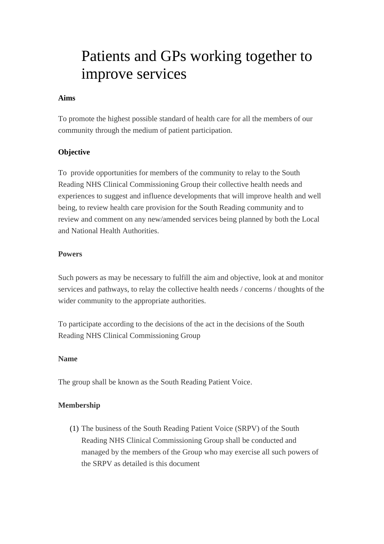# Patients and GPs working together to improve services

### **Aims**

To promote the highest possible standard of health care for all the members of our community through the medium of patient participation.

## **Objective**

To provide opportunities for members of the community to relay to the South Reading NHS Clinical Commissioning Group their collective health needs and experiences to suggest and influence developments that will improve health and well being, to review health care provision for the South Reading community and to review and comment on any new/amended services being planned by both the Local and National Health Authorities.

#### **Powers**

Such powers as may be necessary to fulfill the aim and objective, look at and monitor services and pathways, to relay the collective health needs / concerns / thoughts of the wider community to the appropriate authorities.

To participate according to the decisions of the act in the decisions of the South Reading NHS Clinical Commissioning Group

#### **Name**

The group shall be known as the South Reading Patient Voice.

#### **Membership**

(1) The business of the South Reading Patient Voice (SRPV) of the South Reading NHS Clinical Commissioning Group shall be conducted and managed by the members of the Group who may exercise all such powers of the SRPV as detailed is this document